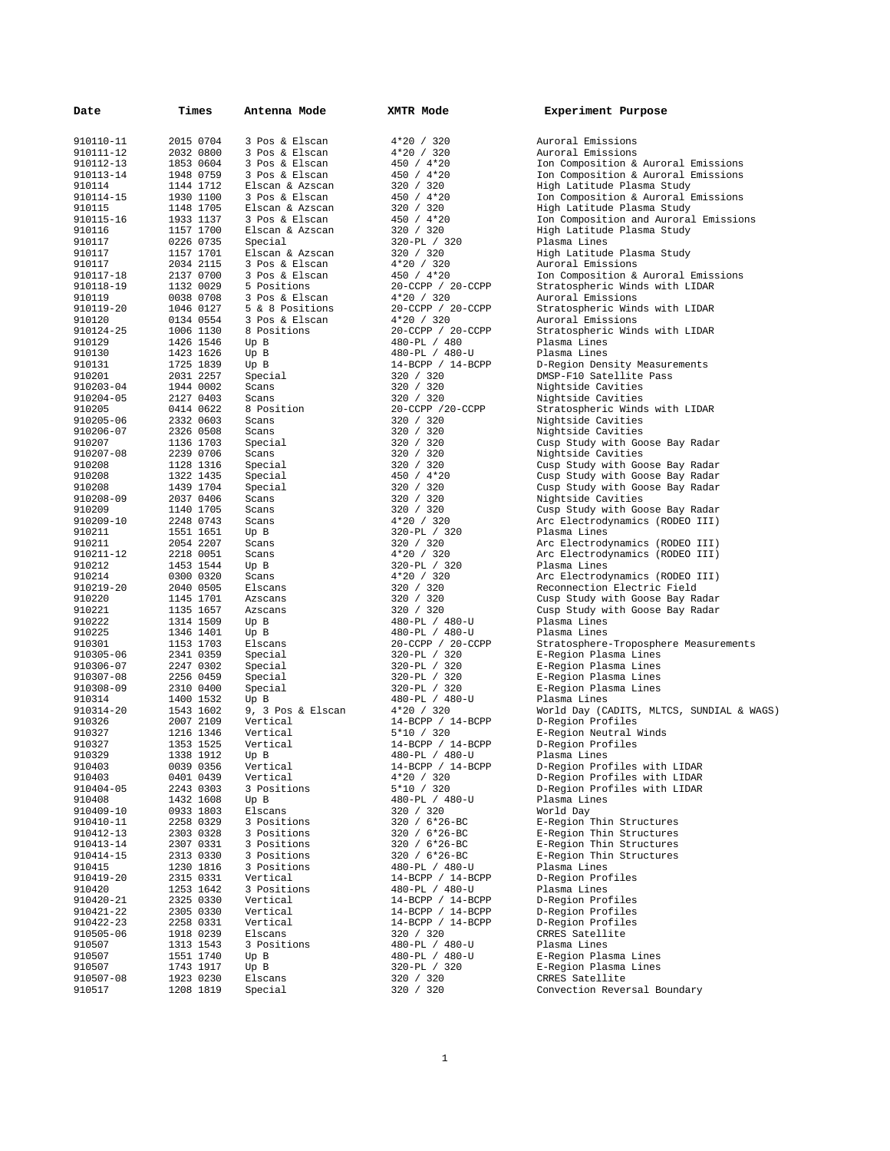| Date                   | Times                  | Antenna Mode                  | XMTR Mode                             | Experiment Purpose                                                    |
|------------------------|------------------------|-------------------------------|---------------------------------------|-----------------------------------------------------------------------|
| 910110-11              | 2015 0704              | 3 Pos & Elscan                | 4*20 / 320                            | Auroral Emissions                                                     |
| 910111-12              | 2032 0800              | 3 Pos & Elscan                | 4*20 / 320                            | Auroral Emissions                                                     |
| 910112-13              | 1853 0604              | 3 Pos & Elscan                | $450 / 4*20$                          | Ion Composition & Auroral Emissions                                   |
| 910113-14              | 1948 0759              | 3 Pos & Elscan                | $450 / 4*20$                          | Ion Composition & Auroral Emissions                                   |
| 910114                 | 1144 1712              | Elscan & Azscan               | 320 / 320                             | High Latitude Plasma Study                                            |
| 910114-15              | 1930 1100              | 3 Pos & Elscan                | 450 / 4*20                            | Ion Composition & Auroral Emissions                                   |
| 910115                 | 1148 1705              | Elscan & Azscan               | 320 / 320                             | High Latitude Plasma Study                                            |
| 910115-16              | 1933 1137              | 3 Pos & Elscan                | 450 / 4*20                            | Ion Composition and Auroral Emissions                                 |
| 910116                 | 1157 1700              | Elscan & Azscan               | 320 / 320                             | High Latitude Plasma Study                                            |
| 910117                 | 0226 0735              | Special                       | 320-PL / 320                          | Plasma Lines                                                          |
| 910117                 | 1157 1701              | Elscan & Azscan               | 320 / 320                             | High Latitude Plasma Study                                            |
| 910117                 | 2034 2115<br>2137 0700 | 3 Pos & Elscan                | $4*20 / 320$                          | Auroral Emissions                                                     |
| 910117-18<br>910118-19 | 1132 0029              | 3 Pos & Elscan<br>5 Positions | $450 / 4*20$                          | Ion Composition & Auroral Emissions<br>Stratospheric Winds with LIDAR |
| 910119                 | 0038 0708              | 3 Pos & Elscan                | 20-CCPP / 20-CCPP<br>$4*20 / 320$     | Auroral Emissions                                                     |
| 910119-20              | 1046 0127              | 5 & 8 Positions               | 20-CCPP / 20-CCPP                     | Stratospheric Winds with LIDAR                                        |
| 910120                 | 0134 0554              | 3 Pos & Elscan                | $4*20 / 320$                          | Auroral Emissions                                                     |
| 910124-25              | 1006 1130              | 8 Positions                   | 20-CCPP / 20-CCPP                     | Stratospheric Winds with LIDAR                                        |
| 910129                 | 1426 1546              | Up B                          | 480-PL / 480                          | Plasma Lines                                                          |
| 910130                 | 1423 1626              | Up B                          | 480-PL / 480-U                        | Plasma Lines                                                          |
| 910131                 | 1725 1839              | Up B                          | $14-BCPP / 14-BCPP$                   | D-Region Density Measurements                                         |
| 910201                 | 2031 2257              | Special                       | 320 / 320                             | DMSP-F10 Satellite Pass                                               |
| 910203-04              | 1944 0002              | Scans                         | 320 / 320                             | Nightside Cavities                                                    |
| 910204-05              | 2127 0403              | Scans                         | 320 / 320                             | Nightside Cavities                                                    |
| 910205                 | 0414 0622              | 8 Position                    | 20-CCPP /20-CCPP                      | Stratospheric Winds with LIDAR                                        |
| 910205-06              | 2332 0603              | Scans                         | 320 / 320                             | Nightside Cavities                                                    |
| 910206-07              | 2326 0508              | Scans                         | 320 / 320                             | Nightside Cavities                                                    |
| 910207                 | 1136 1703              | Special                       | 320 / 320                             | Cusp Study with Goose Bay Radar                                       |
| 910207-08              | 2239 0706              | Scans                         | 320 / 320                             | Nightside Cavities                                                    |
| 910208                 | 1128 1316              | Special                       | 320 / 320                             | Cusp Study with Goose Bay Radar                                       |
| 910208                 | 1322 1435              | Special                       | 450 / 4*20                            | Cusp Study with Goose Bay Radar                                       |
| 910208<br>910208-09    | 1439 1704<br>2037 0406 | Special<br>Scans              | 320 / 320                             | Cusp Study with Goose Bay Radar                                       |
| 910209                 | 1140 1705              | Scans                         | 320 / 320<br>320 / 320                | Nightside Cavities<br>Cusp Study with Goose Bay Radar                 |
| 910209-10              | 2248 0743              | Scans                         | $4*20 / 320$                          | Arc Electrodynamics (RODEO III)                                       |
| 910211                 | 1551 1651              | Up B                          | 320-PL / 320                          | Plasma Lines                                                          |
| 910211                 | 2054 2207              | Scans                         | 320 / 320                             | Arc Electrodynamics (RODEO III)                                       |
| 910211-12              | 2218 0051              | Scans                         | $4*20 / 320$                          | Arc Electrodynamics (RODEO III)                                       |
| 910212                 | 1453 1544              | Up B                          | 320-PL / 320                          | Plasma Lines                                                          |
| 910214                 | 0300 0320              | Scans                         | $4*20 / 320$                          | Arc Electrodynamics (RODEO III)                                       |
| 910219-20              | 2040 0505              | Elscans                       | 320 / 320                             | Reconnection Electric Field                                           |
| 910220                 | 1145 1701              | Azscans                       | 320 / 320                             | Cusp Study with Goose Bay Radar                                       |
| 910221                 | 1135 1657              | Azscans                       | 320 / 320                             | Cusp Study with Goose Bay Radar                                       |
| 910222                 | 1314 1509              | Up B                          | 480-PL / 480-U                        | Plasma Lines                                                          |
| 910225                 | 1346 1401              | Up B                          | 480-PL / 480-U                        | Plasma Lines                                                          |
| 910301                 | 1153 1703              | Elscans                       | 20-CCPP / 20-CCPP                     | Stratosphere-Troposphere Measurements                                 |
| 910305-06              | 2341 0359              | Special                       | 320-PL / 320                          | E-Region Plasma Lines                                                 |
| 910306-07              | 2247 0302              | Special                       | 320-PL / 320                          | E-Region Plasma Lines                                                 |
| 910307-08              | 2256 0459              | Special                       | 320-PL / 320                          | E-Region Plasma Lines                                                 |
| 910308-09              | 2310 0400<br>1400 1532 | Special                       | 320-PL / 320                          | E-Region Plasma Lines<br>Plasma Lines                                 |
| 910314<br>910314-20    | 1543 1602              | Up B<br>9, 3 Pos & Elscan     | 480-PL / 480-U<br>$4*20 / 320$        | World Day (CADITS, MLTCS, SUNDIAL & WAGS)                             |
| 910326                 | 2007 2109              | Vertical                      | $14 - BCPP$ / $14 - BCPP$             | D-Region Profiles                                                     |
| 910327                 | 1216 1346              | Vertical                      | 5*10 / 320                            | E-Region Neutral Winds                                                |
| 910327                 | 1353 1525              | Vertical                      | $14 - BCPP$ / $14 - BCPP$             | D-Region Profiles                                                     |
| 910329                 | 1338 1912              | Up B                          | 480-PL / 480-U                        | Plasma Lines                                                          |
| 910403                 | 0039 0356              | Vertical                      | $14-BCPP / 14-BCPP$                   | D-Region Profiles with LIDAR                                          |
| 910403                 | 0401 0439              | Vertical                      | 4*20 / 320                            | D-Region Profiles with LIDAR                                          |
| 910404-05              | 2243 0303              | 3 Positions                   | 5*10 / 320                            | D-Region Profiles with LIDAR                                          |
| 910408                 | 1432 1608              | Up B                          | 480-PL / 480-U                        | Plasma Lines                                                          |
| 910409-10              | 0933 1803              | Elscans                       | 320 / 320                             | World Day                                                             |
| 910410-11              | 2258 0329              | 3 Positions                   | 320 / 6*26-BC                         | E-Region Thin Structures                                              |
| 910412-13              | 2303 0328              | 3 Positions                   | 320 / 6*26-BC                         | E-Region Thin Structures                                              |
| 910413-14              | 2307 0331              | 3 Positions                   | 320 / 6*26-BC                         | E-Region Thin Structures                                              |
| 910414-15              | 2313 0330              | 3 Positions                   | 320 / 6*26-BC                         | E-Region Thin Structures                                              |
| 910415                 | 1230 1816              | 3 Positions                   | 480-PL / 480-U                        | Plasma Lines<br>D-Region Profiles                                     |
| 910419-20              | 2315 0331              | Vertical                      | 14-BCPP / 14-BCPP                     |                                                                       |
| 910420<br>910420-21    | 1253 1642<br>2325 0330 | 3 Positions<br>Vertical       | 480-PL / 480-U<br>$14-BCPP / 14-BCPP$ | Plasma Lines<br>D-Region Profiles                                     |
| 910421-22              | 2305 0330              | Vertical                      | 14-BCPP / 14-BCPP                     | D-Region Profiles                                                     |
| 910422-23              | 2258 0331              | Vertical                      | $14-BCPP / 14-BCPP$                   | D-Region Profiles                                                     |
| 910505-06              | 1918 0239              | Elscans                       | 320 / 320                             | CRRES Satellite                                                       |
| 910507                 | 1313 1543              | 3 Positions                   | 480-PL / 480-U                        | Plasma Lines                                                          |
| 910507                 | 1551 1740              | Up B                          | 480-PL / 480-U                        | E-Region Plasma Lines                                                 |
| 910507                 | 1743 1917              | Up B                          | 320-PL / 320                          | E-Region Plasma Lines                                                 |
| 910507-08              | 1923 0230              | Elscans                       | 320 / 320                             | CRRES Satellite                                                       |
| 910517                 | 1208 1819              | Special                       | 320 / 320                             | Convection Reversal Boundary                                          |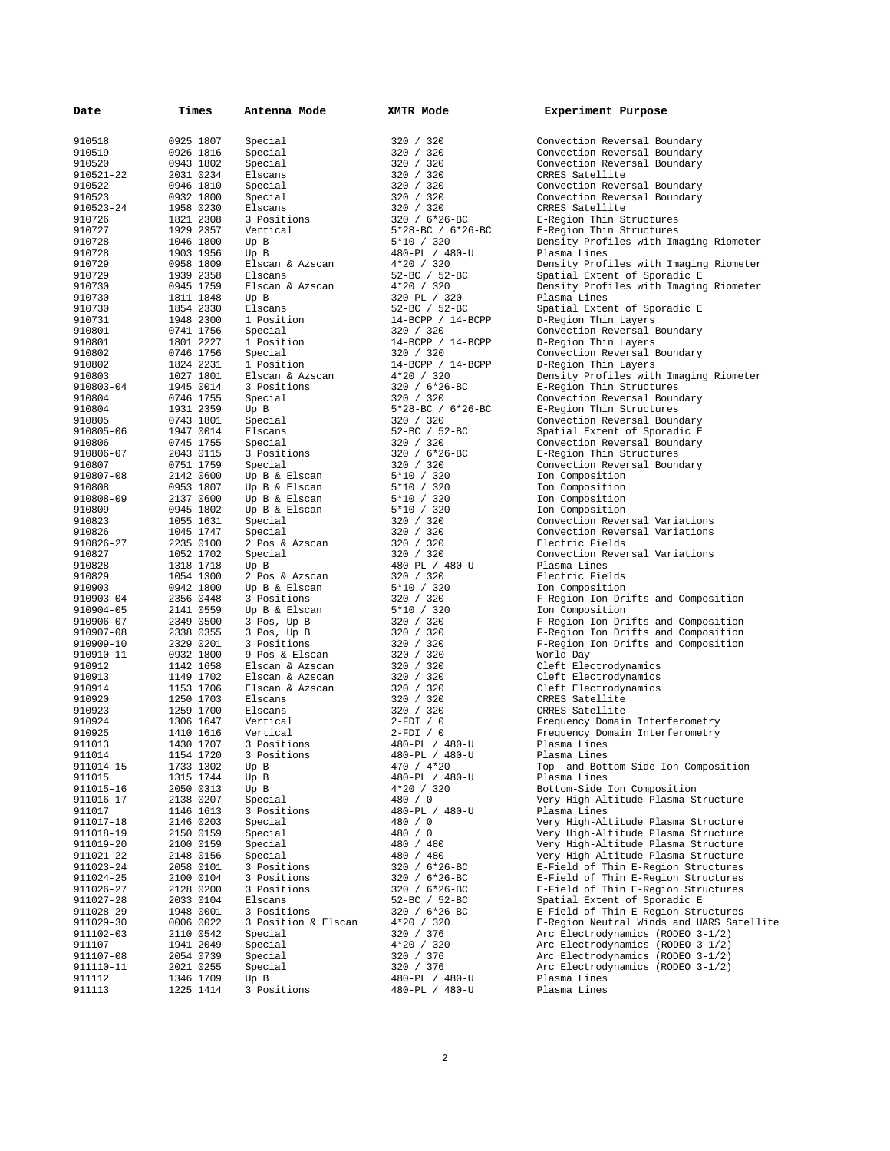| Date      | Times     | Antenna Mode        | XMTR Mode             | Experiment Purpose                        |
|-----------|-----------|---------------------|-----------------------|-------------------------------------------|
|           |           |                     |                       |                                           |
| 910518    | 0925 1807 | Special             | 320 / 320             | Convection Reversal Boundary              |
| 910519    | 0926 1816 | Special             | 320 / 320             | Convection Reversal Boundary              |
| 910520    | 0943 1802 | Special             | 320 / 320             | Convection Reversal Boundary              |
| 910521-22 | 2031 0234 | Elscans             | 320 / 320             | CRRES Satellite                           |
| 910522    | 0946 1810 | Special             | 320 / 320             | Convection Reversal Boundary              |
| 910523    | 0932 1800 | Special             | 320 / 320             | Convection Reversal Boundary              |
| 910523-24 | 1958 0230 | Elscans             | 320 / 320             | CRRES Satellite                           |
| 910726    | 1821 2308 | 3 Positions         | 320 / 6*26-BC         | E-Region Thin Structures                  |
| 910727    | 1929 2357 | Vertical            | $5*28-BC$ / $6*26-BC$ | E-Region Thin Structures                  |
| 910728    | 1046 1800 | Up B                | 5*10 / 320            | Density Profiles with Imaging Riometer    |
| 910728    | 1903 1956 | Up B                | 480-PL / 480-U        | Plasma Lines                              |
| 910729    | 0958 1809 | Elscan & Azscan     | $4*20 / 320$          | Density Profiles with Imaging Riometer    |
| 910729    | 1939 2358 | Elscans             | 52-BC / 52-BC         | Spatial Extent of Sporadic E              |
| 910730    | 0945 1759 | Elscan & Azscan     | $4*20 / 320$          | Density Profiles with Imaging Riometer    |
| 910730    | 1811 1848 | Up B                | 320-PL / 320          | Plasma Lines                              |
| 910730    | 1854 2330 | Elscans             | 52-BC / 52-BC         |                                           |
| 910731    | 1948 2300 | 1 Position          |                       | Spatial Extent of Sporadic E              |
|           |           |                     | $14-BCPP / 14-BCPP$   | D-Region Thin Layers                      |
| 910801    | 0741 1756 | Special             | 320 / 320             | Convection Reversal Boundary              |
| 910801    | 1801 2227 | 1 Position          | $14-BCPP / 14-BCPP$   | D-Region Thin Layers                      |
| 910802    | 0746 1756 | Special             | 320 / 320             | Convection Reversal Boundary              |
| 910802    | 1824 2231 | 1 Position          | $14-BCPP / 14-BCPP$   | D-Region Thin Layers                      |
| 910803    | 1027 1801 | Elscan & Azscan     | $4*20 / 320$          | Density Profiles with Imaging Riometer    |
| 910803-04 | 1945 0014 | 3 Positions         | $320 / 6*26 - BC$     | E-Region Thin Structures                  |
| 910804    | 0746 1755 | Special             | 320 / 320             | Convection Reversal Boundary              |
| 910804    | 1931 2359 | Up B                | $5*28-BC$ / $6*26-BC$ | E-Region Thin Structures                  |
| 910805    | 0743 1801 | Special             | 320 / 320             | Convection Reversal Boundary              |
| 910805-06 | 1947 0014 | Elscans             | 52-BC / 52-BC         | Spatial Extent of Sporadic E              |
| 910806    | 0745 1755 | Special             | 320 / 320             | Convection Reversal Boundary              |
| 910806-07 | 2043 0115 | 3 Positions         | 320 / 6*26-BC         | E-Region Thin Structures                  |
| 910807    | 0751 1759 | Special             | 320 / 320             | Convection Reversal Boundary              |
| 910807-08 | 2142 0600 | Up B & Elscan       | 5*10 / 320            | Ion Composition                           |
| 910808    | 0953 1807 | Up B & Elscan       | $5*10 / 320$          | Ion Composition                           |
| 910808-09 | 2137 0600 | Up B & Elscan       | 5*10 / 320            | Ion Composition                           |
| 910809    | 0945 1802 | Up B & Elscan       | 5*10 / 320            | Ion Composition                           |
| 910823    | 1055 1631 | Special             | 320 / 320             | Convection Reversal Variations            |
| 910826    | 1045 1747 | Special             | 320 / 320             | Convection Reversal Variations            |
| 910826-27 | 2235 0100 | 2 Pos & Azscan      | 320 / 320             | Electric Fields                           |
| 910827    | 1052 1702 | Special             | 320 / 320             | Convection Reversal Variations            |
| 910828    | 1318 1718 | Up B                | 480-PL / 480-U        | Plasma Lines                              |
| 910829    | 1054 1300 | 2 Pos & Azscan      | 320 / 320             | Electric Fields                           |
| 910903    | 0942 1800 | Up B & Elscan       | 5*10 / 320            | Ion Composition                           |
| 910903-04 | 2356 0448 | 3 Positions         |                       |                                           |
|           |           |                     | 320 / 320             | F-Region Ion Drifts and Composition       |
| 910904-05 | 2141 0559 | Up B & Elscan       | 5*10 / 320            | Ion Composition                           |
| 910906-07 | 2349 0500 | 3 Pos, Up B         | 320 / 320             | F-Region Ion Drifts and Composition       |
| 910907-08 | 2338 0355 | 3 Pos, Up B         | 320 / 320             | F-Region Ion Drifts and Composition       |
| 910909-10 | 2329 0201 | 3 Positions         | 320 / 320             | F-Region Ion Drifts and Composition       |
| 910910-11 | 0932 1800 | 9 Pos & Elscan      | 320 / 320             | World Day                                 |
| 910912    | 1142 1658 | Elscan & Azscan     | 320 / 320             | Cleft Electrodynamics                     |
| 910913    | 1149 1702 | Elscan & Azscan     | 320 / 320             | Cleft Electrodynamics                     |
| 910914    | 1153 1706 | Elscan & Azscan     | 320 / 320             | Cleft Electrodynamics                     |
| 910920    | 1250 1703 | Elscans             | 320 / 320             | CRRES Satellite                           |
| 910923    | 1259 1700 | Elscans             | 320 / 320             | CRRES Satellite                           |
| 910924    | 1306 1647 | Vertical            | $2-FDI / 0$           | Frequency Domain Interferometry           |
| 910925    | 1410 1616 | Vertical            | $2-FDI / 0$           | Frequency Domain Interferometry           |
| 911013    | 1430 1707 | 3 Positions         | 480-PL / 480-U        | Plasma Lines                              |
| 911014    | 1154 1720 | 3 Positions         | 480-PL / 480-U        | Plasma Lines                              |
| 911014-15 | 1733 1302 | Up B                | 470 / 4*20            | Top- and Bottom-Side Ion Composition      |
| 911015    | 1315 1744 | Up B                | 480-PL / 480-U        | Plasma Lines                              |
| 911015-16 | 2050 0313 | Up B                | 4*20 / 320            | Bottom-Side Ion Composition               |
| 911016-17 | 2138 0207 | Special             | 480 / 0               | Very High-Altitude Plasma Structure       |
| 911017    | 1146 1613 | 3 Positions         | 480-PL / 480-U        | Plasma Lines                              |
| 911017-18 | 2146 0203 | Special             | 480 / 0               | Very High-Altitude Plasma Structure       |
| 911018-19 | 2150 0159 | Special             | 480 / 0               | Very High-Altitude Plasma Structure       |
| 911019-20 | 2100 0159 | Special             | 480 / 480             | Very High-Altitude Plasma Structure       |
| 911021-22 | 2148 0156 | Special             | 480 / 480             | Very High-Altitude Plasma Structure       |
| 911023-24 | 2058 0101 | 3 Positions         | 320 / 6*26-BC         | E-Field of Thin E-Region Structures       |
| 911024-25 | 2100 0104 | 3 Positions         | 320 / 6*26-BC         | E-Field of Thin E-Region Structures       |
|           |           |                     |                       | E-Field of Thin E-Region Structures       |
| 911026-27 | 2128 0200 | 3 Positions         | 320 / 6*26-BC         | Spatial Extent of Sporadic E              |
| 911027-28 | 2033 0104 | Elscans             | 52-BC / 52-BC         |                                           |
| 911028-29 | 1948 0001 | 3 Positions         | 320 / 6*26-BC         | E-Field of Thin E-Region Structures       |
| 911029-30 | 0006 0022 | 3 Position & Elscan | 4*20 / 320            | E-Region Neutral Winds and UARS Satellite |
| 911102-03 | 2110 0542 | Special             | 320 / 376             | Arc Electrodynamics (RODEO 3-1/2)         |
| 911107    | 1941 2049 | Special             | 4*20 / 320            | Arc Electrodynamics (RODEO 3-1/2)         |
| 911107-08 | 2054 0739 | Special             | 320 / 376             | Arc Electrodynamics (RODEO 3-1/2)         |
| 911110-11 | 2021 0255 | Special             | 320 / 376             | Arc Electrodynamics (RODEO 3-1/2)         |
| 911112    | 1346 1709 | Up B                | 480-PL / 480-U        | Plasma Lines                              |
| 911113    | 1225 1414 | 3 Positions         | 480-PL / 480-U        | Plasma Lines                              |